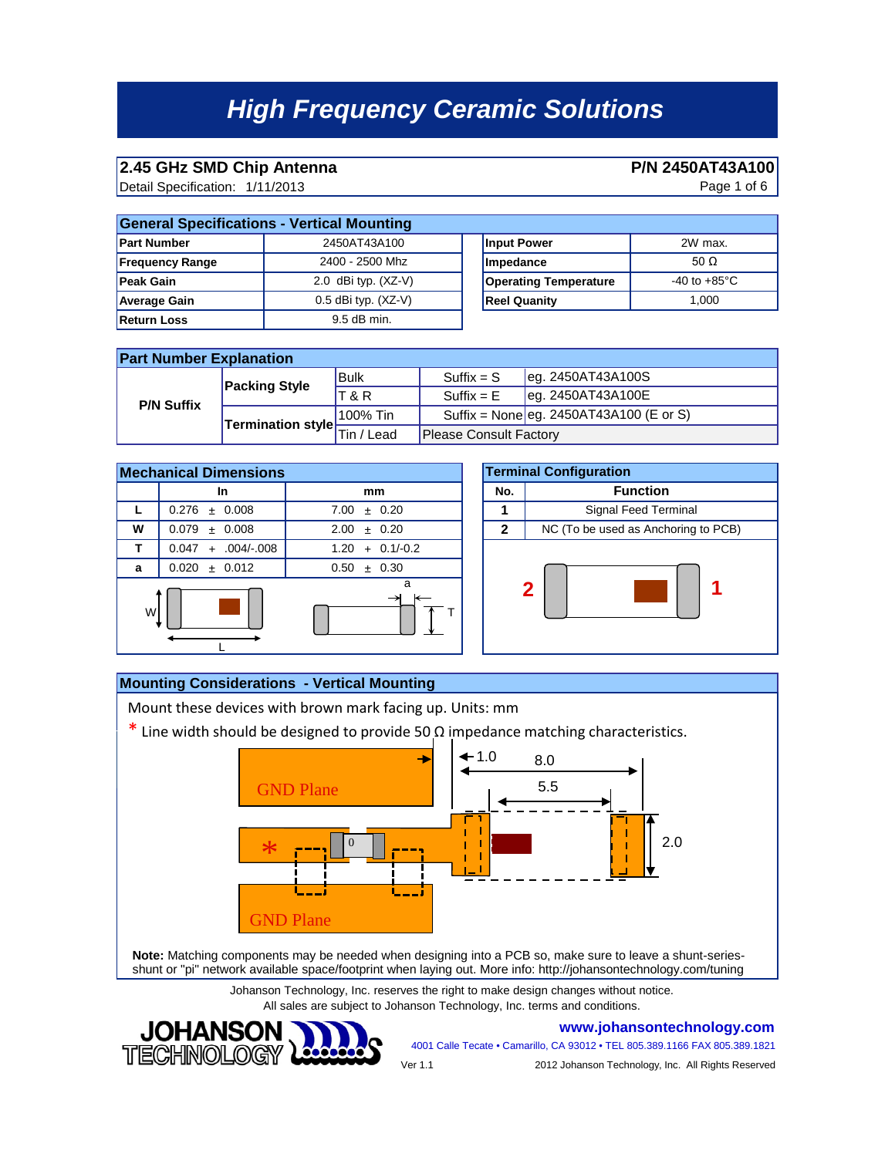# **2.45 GHz SMD Chip Antenna P/N 2450AT43A100**<br>Detail Specification: 1/11/2013 **Page 1 of 6**

Detail Specification: Page 1 of 6 1/11/2013

| <b>General Specifications - Vertical Mounting</b> |                         |                              |                         |  |
|---------------------------------------------------|-------------------------|------------------------------|-------------------------|--|
| <b>Part Number</b>                                | 2450AT43A100            | <b>Input Power</b>           | 2W max.                 |  |
| <b>Frequency Range</b>                            | 2400 - 2500 Mhz         | Impedance                    | 50 $\Omega$             |  |
| <b>Peak Gain</b>                                  | 2.0 dBi typ. $(XZ-V)$   | <b>Operating Temperature</b> | -40 to +85 $^{\circ}$ C |  |
| <b>Average Gain</b>                               | $0.5$ dBi typ. $(XZ-V)$ | <b>Reel Quanity</b>          | 1.000                   |  |
| <b>Return Loss</b>                                | $9.5$ dB min.           |                              |                         |  |

### **Part Number Explanation**

| <b>P/N Suffix</b> | <b>Packing Style</b>     | <b>Bulk</b>          | $Suffix = S$                  | $\left  \right $ eg. 2450AT43A100S      |
|-------------------|--------------------------|----------------------|-------------------------------|-----------------------------------------|
|                   |                          | <b>T&amp;R</b>       | $Suffix = E$                  | $\textsf{leq. 2450AT43A100E}$           |
|                   | Termination style $\div$ | 100% Tin             |                               | Suffix = None eg. 2450AT43A100 (E or S) |
|                   |                          | Lead<br>Tin $\prime$ | <b>Please Consult Factory</b> |                                         |



|            |              | <b>Terminal Configuration</b>       |  |
|------------|--------------|-------------------------------------|--|
|            | No.          | <b>Function</b>                     |  |
| 0.20       |              | Signal Feed Terminal                |  |
| 0.20       | $\mathbf{2}$ | NC (To be used as Anchoring to PCB) |  |
| $0.1/-0.2$ |              |                                     |  |
| 0.30       |              |                                     |  |
| a          |              | $\mathbf{2}$                        |  |

### **Mounting Considerations - Vertical Mounting**

**JOHANSON** 

**TECHNOLO** 

Mount these devices with brown mark facing up. Units: mm

 $*$  Line width should be designed to provide 50  $\Omega$  impedance matching characteristics.



**Note:** Matching components may be needed when designing into a PCB so, make sure to leave a shunt-seriesshunt or "pi" network available space/footprint when laying out. More info: http://johansontechnology.com/tuning

> Johanson Technology, Inc. reserves the right to make design changes without notice. All sales are subject to Johanson Technology, Inc. terms and conditions.







Ver 1.1 2012 Johanson Technology, Inc. All Rights Reserved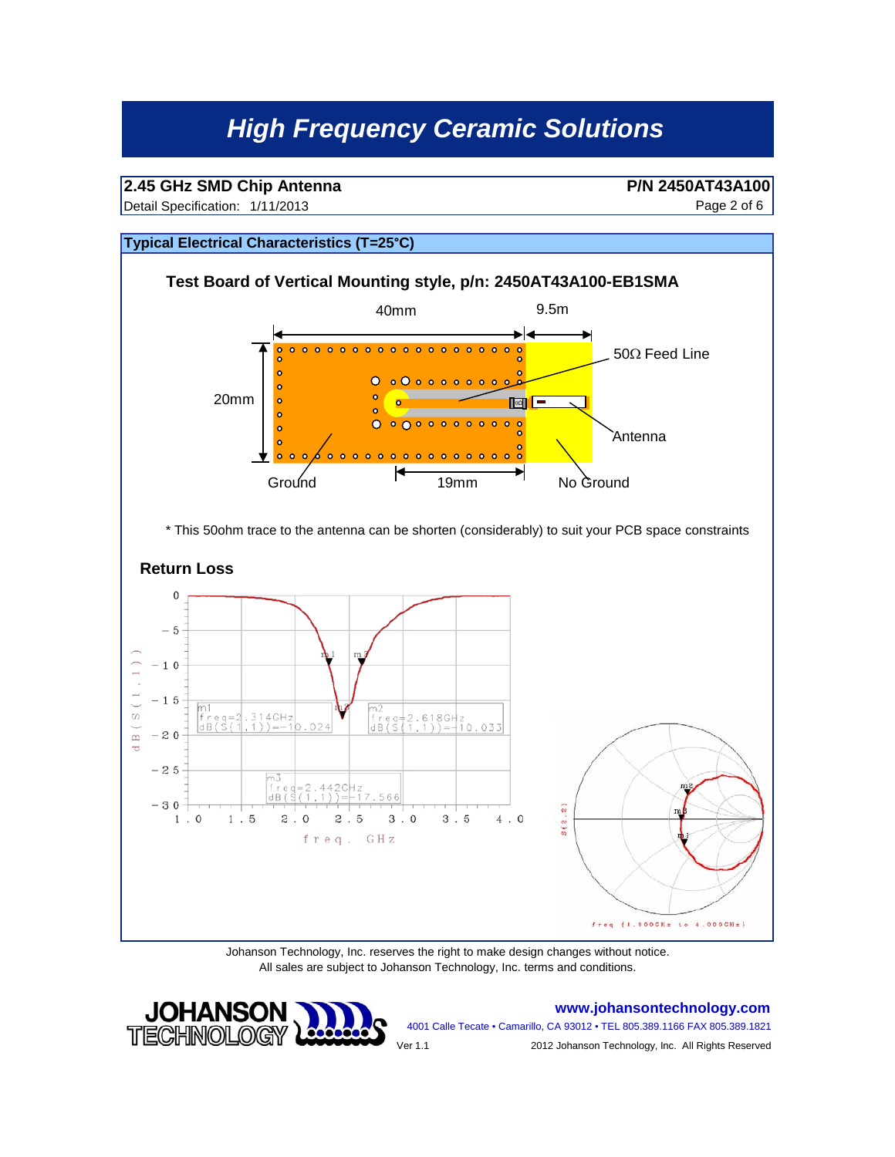# **2.45 GHz SMD Chip Antenna P/N 2450AT43A100**<br>Detail Specification: 1/11/2013 **Page 2 of 6**

Detail Specification: Page 2 of 6 1/11/2013

#### **Typical Electrical Characteristics (T=25°C)**



\* This 50ohm trace to the antenna can be shorten (considerably) to suit your PCB space constraints





Johanson Technology, Inc. reserves the right to make design changes without notice. All sales are subject to Johanson Technology, Inc. terms and conditions.



**www.johansontechnology.com** 4001 Calle Tecate • Camarillo, CA 93012 • TEL 805.389.1166 FAX 805.389.1821

Ver 1.1 2012 Johanson Technology, Inc. All Rights Reserved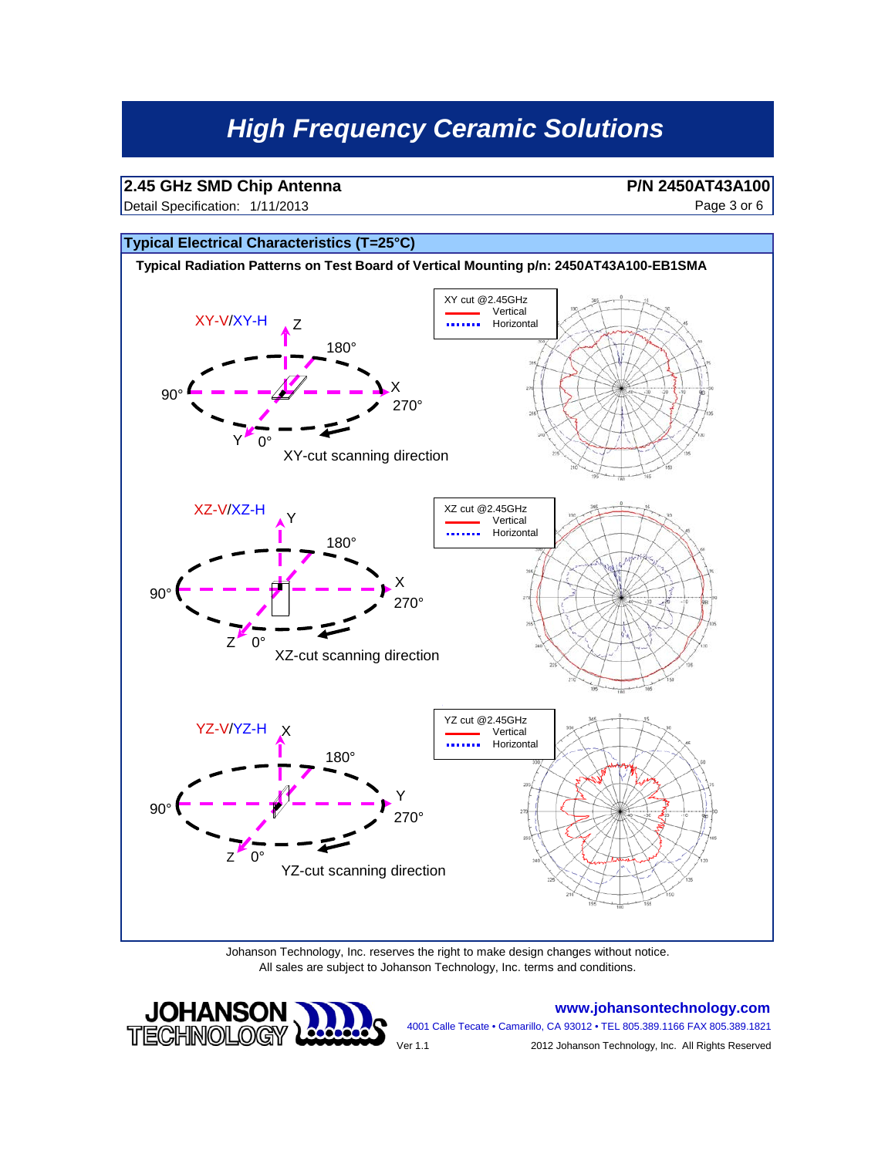# **2.45 GHz SMD Chip Antenna P/N 2450AT43A100**<br>Detail Specification: 1/11/2013 **P** age 3 or 6

Detail Specification: Page 3 or 6 1/11/2013



Johanson Technology, Inc. reserves the right to make design changes without notice. All sales are subject to Johanson Technology, Inc. terms and conditions.



**www.johansontechnology.com** 4001 Calle Tecate • Camarillo, CA 93012 • TEL 805.389.1166 FAX 805.389.1821 Ver 1.1 2012 Johanson Technology, Inc. All Rights Reserved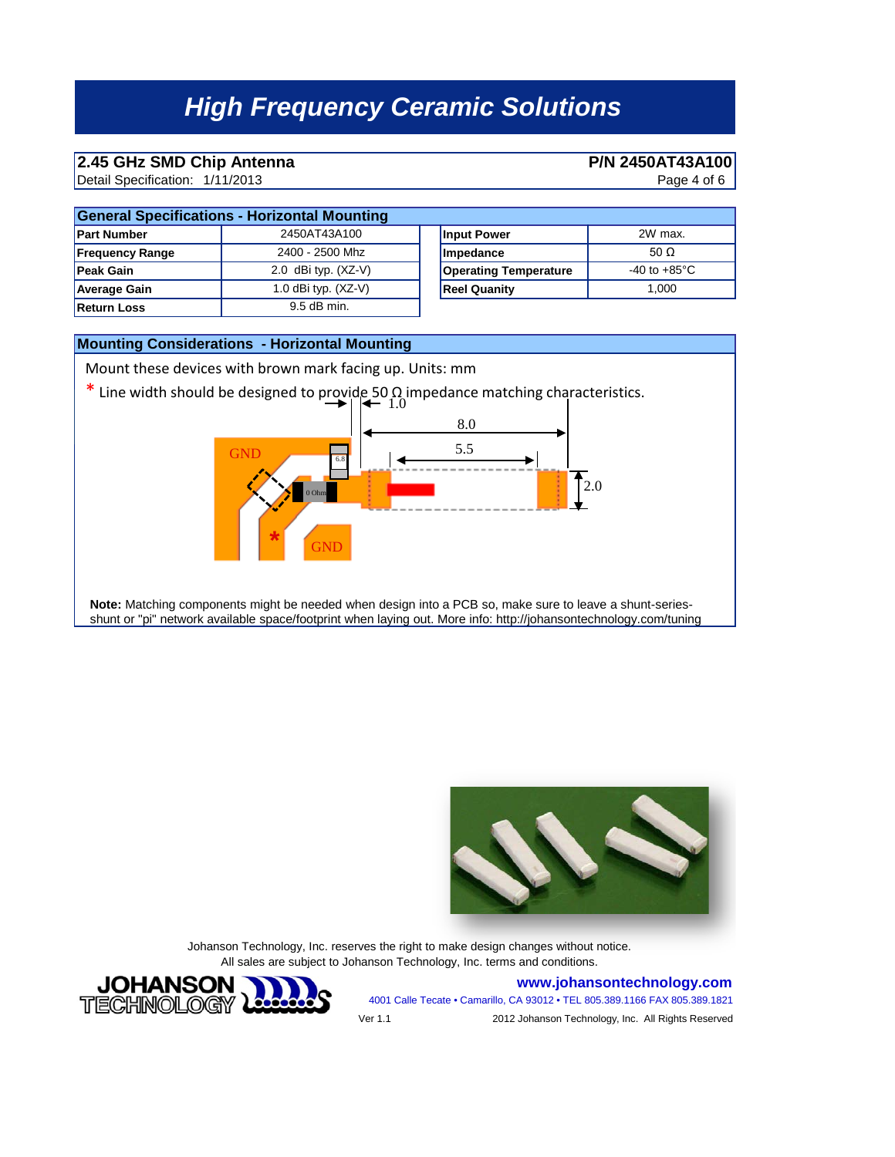# **2.45 GHz SMD Chip Antenna P/N 2450AT43A100**<br>Detail Specification: 1/11/2013 **Page 4 of 6**

Detail Specification: Page 4 of 6 1/11/2013

| <b>General Specifications - Horizontal Mounting</b> |                       |                              |  |  |
|-----------------------------------------------------|-----------------------|------------------------------|--|--|
| <b>Part Number</b>                                  | 2450AT43A100          | Input Power                  |  |  |
| <b>Frequency Range</b>                              | 2400 - 2500 Mhz       | Impedance                    |  |  |
| <b>Peak Gain</b>                                    | 2.0 dBi typ. $(XZ-V)$ | <b>Operating Temperature</b> |  |  |
| <b>Average Gain</b>                                 | 1.0 dBi typ. $(XZ-V)$ | <b>Reel Quanity</b>          |  |  |
| <b>Return Loss</b>                                  | 9.5 dB min.           |                              |  |  |

| izontal Mounting      |                              |                        |  |  |
|-----------------------|------------------------------|------------------------|--|--|
| 2450AT43A100          | <b>Input Power</b>           | 2W max.                |  |  |
| 2400 - 2500 Mhz       | Impedance                    | 50 $\Omega$            |  |  |
| 2.0 dBi typ. (XZ-V)   | <b>Operating Temperature</b> | -40 to $+85^{\circ}$ C |  |  |
| 1.0 dBi typ. $(XZ-V)$ | <b>Reel Quanity</b>          | 1.000                  |  |  |
|                       |                              |                        |  |  |





Johanson Technology, Inc. reserves the right to make design changes without notice. All sales are subject to Johanson Technology, Inc. terms and conditions.



**www.johansontechnology.com** 4001 Calle Tecate • Camarillo, CA 93012 • TEL 805.389.1166 FAX 805.389.1821 Ver 1.1 2012 Johanson Technology, Inc. All Rights Reserved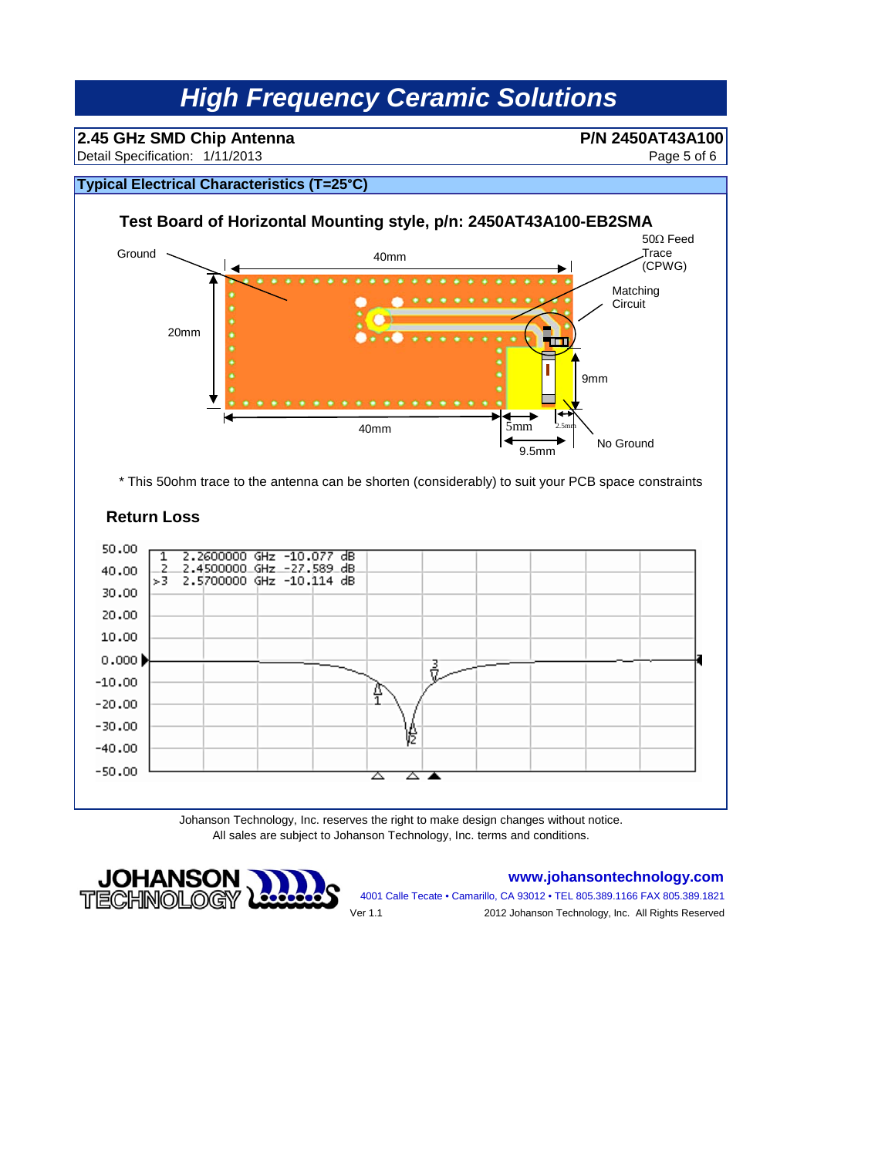# **2.45 GHz SMD Chip Antenna P/N 2450AT43A100**<br>Detail Specification: 1/11/2013 **Page 5 of 6**

Detail Specification: Page 5 of 6 1/11/2013

### **Typical Electrical Characteristics (T=25°C)**



\* This 50ohm trace to the antenna can be shorten (considerably) to suit your PCB space constraints

### **Return Loss**



Johanson Technology, Inc. reserves the right to make design changes without notice. All sales are subject to Johanson Technology, Inc. terms and conditions.



### **www.johansontechnology.com**

4001 Calle Tecate • Camarillo, CA 93012 • TEL 805.389.1166 FAX 805.389.1821 Ver 1.1 2012 Johanson Technology, Inc. All Rights Reserved